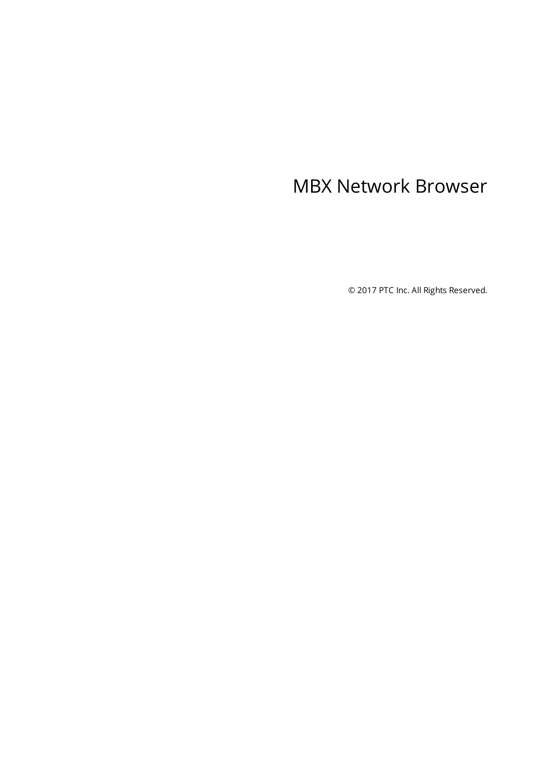# <span id="page-0-0"></span>MBX Network Browser

© 2017 PTC Inc. All Rights Reserved.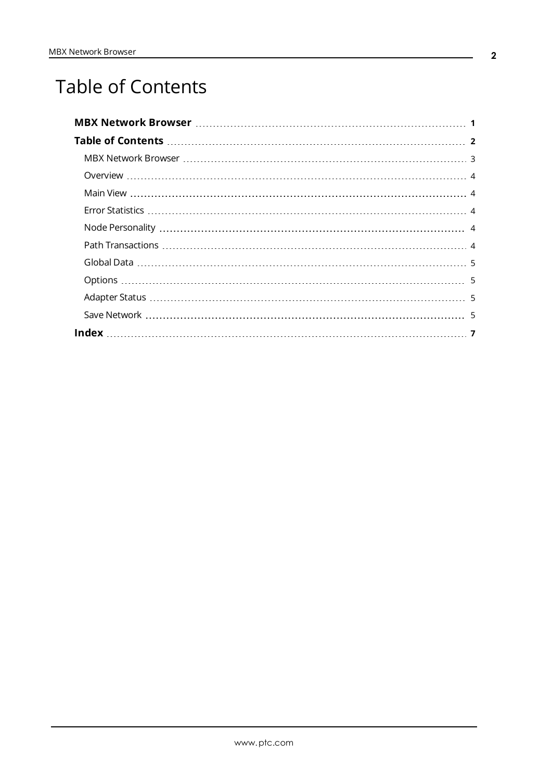# <span id="page-1-0"></span>Table of Contents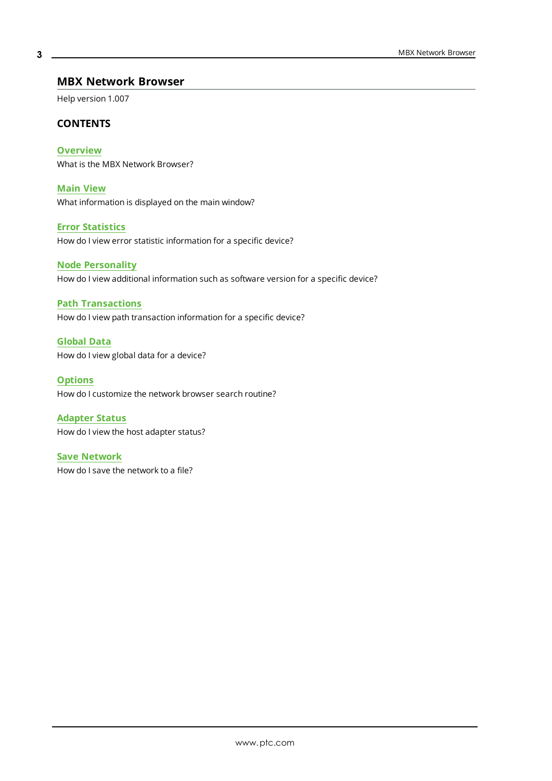#### <span id="page-2-0"></span>**MBX Network Browser**

Help version 1.007

#### **CONTENTS**

**[Overview](#page-3-0)** What is the MBX Network Browser?

**[Main](#page-3-1) View** What information is displayed on the main window?

<span id="page-2-5"></span>**Error [Statistics](#page-3-2)**

<span id="page-2-3"></span>How do I view error statistic information for a specific device?

#### **Node [Personality](#page-3-3)**

<span id="page-2-4"></span>How do I view additional information such as software version for a specific device?

#### **Path [Transactions](#page-3-4)**

<span id="page-2-2"></span>How do I view path transaction information for a specific device?

**[Global](#page-4-0) Data** How do I view global data for a device?

**[Options](#page-4-1)** How do I customize the network browser search routine?

<span id="page-2-1"></span>**[Adapter](#page-4-2) Status** How do I view the host adapter status?

**Save [Network](#page-4-3)** How do I save the network to a file?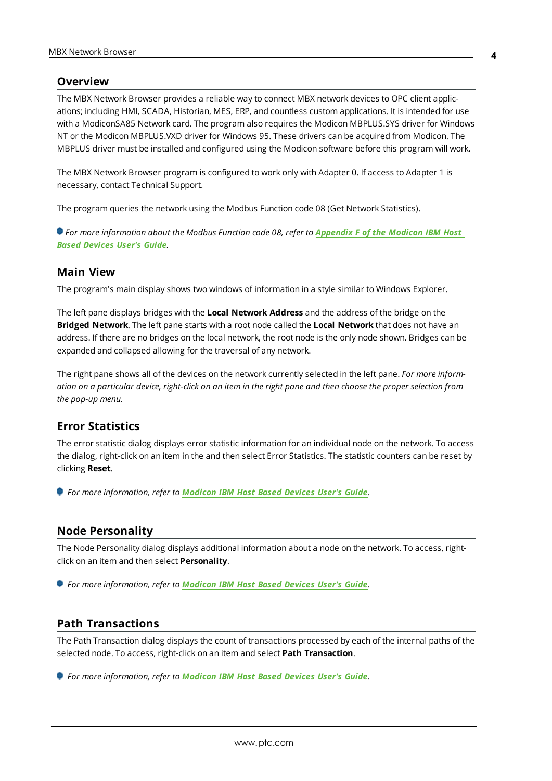#### <span id="page-3-7"></span><span id="page-3-0"></span>**Overview**

The MBX Network Browser provides a reliable way to connect MBX network devices to OPC client applications; including HMI, SCADA, Historian, MES, ERP, and countless custom applications. It is intended for use with a ModiconSA85 Network card. The program also requires the Modicon MBPLUS.SYS driver for Windows NT or the Modicon MBPLUS.VXD driver for Windows 95. These drivers can be acquired from Modicon. The MBPLUS driver must be installed and configured using the Modicon software before this program will work.

<span id="page-3-5"></span>The MBX Network Browser program is configured to work only with Adapter 0. If access to Adapter 1 is necessary, contact Technical Support.

<span id="page-3-8"></span>The program queries the network using the Modbus Function code 08 (Get Network Statistics).

For more information about the Modbus Function code 08, refer to [Appendix](http://50.244.15.10/techlib/Modicon/Modicon Host_Based_Devices-IBM.pdf) F of the Modicon IBM Host *Based [Devices](http://50.244.15.10/techlib/Modicon/Modicon Host_Based_Devices-IBM.pdf) User's Guide.*

#### <span id="page-3-10"></span><span id="page-3-1"></span>**Main View**

<span id="page-3-6"></span>The program's main display shows two windows of information in a style similar to Windows Explorer.

The left pane displays bridges with the **Local Network Address** and the address of the bridge on the **Bridged Network**. The left pane starts with a root node called the **Local Network** that does not have an address. If there are no bridges on the local network, the root node is the only node shown. Bridges can be expanded and collapsed allowing for the traversal of any network.

The right pane shows all of the devices on the network currently selected in the left pane. *For more inform*ation on a particular device, right-click on an item in the right pane and then choose the proper selection from *the pop-up menu.*

#### <span id="page-3-2"></span>**Error Statistics**

The error statistic dialog displays error statistic information for an individual node on the network. To access the dialog, right-click on an item in the and then select Error Statistics. The statistic counters can be reset by clicking **Reset**.

*For more information, refer to [Modicon](http://50.244.15.10/techlib/Modicon/Modicon Host_Based_Devices-IBM.pdf) IBM Host Based Devices User's Guide.*

#### <span id="page-3-3"></span>**Node Personality**

The Node Personality dialog displays additional information about a node on the network. To access, rightclick on an item and then select **Personality**.

*For more information, refer to [Modicon](http://50.244.15.10/techlib/Modicon/Modicon Host_Based_Devices-IBM.pdf) IBM Host Based Devices User's Guide.*

#### <span id="page-3-9"></span><span id="page-3-4"></span>**Path Transactions**

The Path Transaction dialog displays the count of transactions processed by each of the internal paths of the selected node. To access, right-click on an item and select **Path Transaction**.

*For more information, refer to [Modicon](http://50.244.15.10/techlib/Modicon/Modicon Host_Based_Devices-IBM.pdf) IBM Host Based Devices User's Guide.*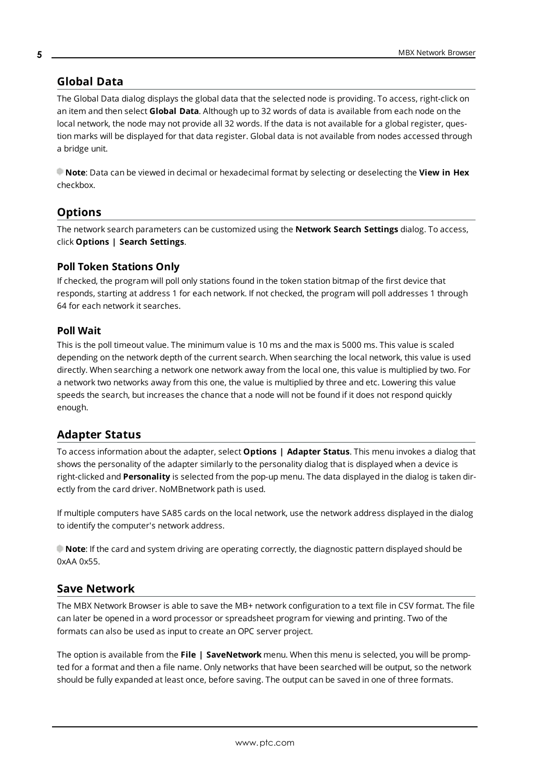### <span id="page-4-5"></span><span id="page-4-0"></span>**Global Data**

The Global Data dialog displays the global data that the selected node is providing. To access, right-click on an item and then select **Global Data**. Although up to 32 words of data is available from each node on the local network, the node may not provide all 32 words. If the data is not available for a global register, question marks will be displayed for that data register. Global data is not available from nodes accessed through a bridge unit.

<span id="page-4-7"></span>**Note**: Data can be viewed in decimal or hexadecimal format by selecting or deselecting the **View in Hex** checkbox.

### <span id="page-4-9"></span><span id="page-4-1"></span>**Options**

The network search parameters can be customized using the **Network Search Settings** dialog. To access, click **Options | Search Settings**.

### <span id="page-4-11"></span>**Poll Token Stations Only**

If checked, the program will poll only stations found in the token station bitmap of the first device that responds, starting at address 1 for each network. If not checked, the program will poll addresses 1 through 64 for each network it searches.

#### <span id="page-4-12"></span>**Poll Wait**

This is the poll timeout value. The minimum value is 10 ms and the max is 5000 ms. This value is scaled depending on the network depth of the current search. When searching the local network, this value is used directly. When searching a network one network away from the local one, this value is multiplied by two. For a network two networks away from this one, the value is multiplied by three and etc. Lowering this value speeds the search, but increases the chance that a node will not be found if it does not respond quickly enough.

### <span id="page-4-10"></span><span id="page-4-2"></span>**Adapter Status**

To access information about the adapter, select **Options | Adapter Status**. This menu invokes a dialog that shows the personality of the adapter similarly to the personality dialog that is displayed when a device is right-clicked and **Personality** is selected from the pop-up menu. The data displayed in the dialog is taken directly from the card driver. NoMBnetwork path is used.

<span id="page-4-8"></span>If multiple computers have SA85 cards on the local network, use the network address displayed in the dialog to identify the computer's network address.

<span id="page-4-4"></span>**Note**: If the card and system driving are operating correctly, the diagnostic pattern displayed should be 0xAA 0x55.

### <span id="page-4-6"></span><span id="page-4-3"></span>**Save Network**

The MBX Network Browser is able to save the MB+ network configuration to a text file in CSV format. The file can later be opened in a word processor or spreadsheet program for viewing and printing. Two of the formats can also be used as input to create an OPC server project.

The option is available from the **File | SaveNetwork** menu. When this menu is selected, you will be prompted for a format and then a file name. Only networks that have been searched will be output, so the network should be fully expanded at least once, before saving. The output can be saved in one of three formats.

**5**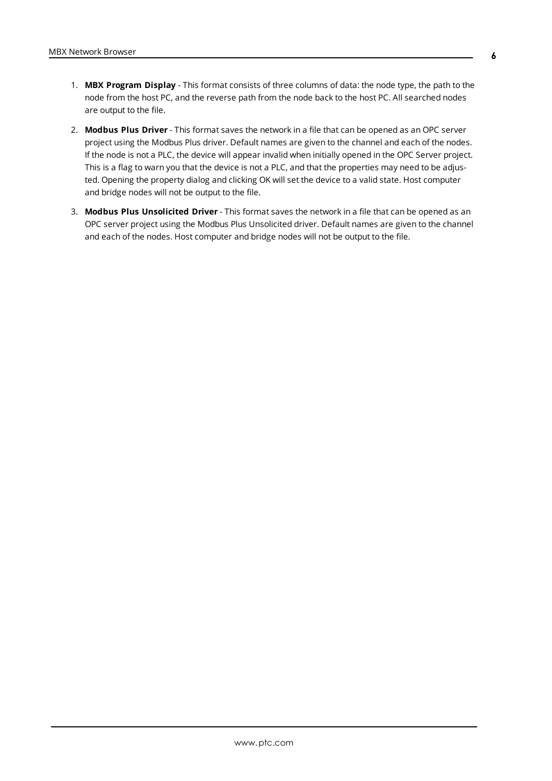- 1. **MBX Program Display** This format consists of three columns of data: the node type, the path to the node from the host PC, and the reverse path from the node back to the host PC. All searched nodes are output to the file.
- 2. **Modbus Plus Driver** This format saves the network in a file that can be opened as an OPC server project using the Modbus Plus driver. Default names are given to the channel and each of the nodes. If the node is not a PLC, the device will appear invalid when initially opened in the OPC Server project. This is a flag to warn you that the device is not a PLC, and that the properties may need to be adjusted. Opening the property dialog and clicking OK will set the device to a valid state. Host computer and bridge nodes will not be output to the file.
- 3. **Modbus Plus Unsolicited Driver** This format saves the network in a file that can be opened as an OPC server project using the Modbus Plus Unsolicited driver. Default names are given to the channel and each of the nodes. Host computer and bridge nodes will not be output to the file.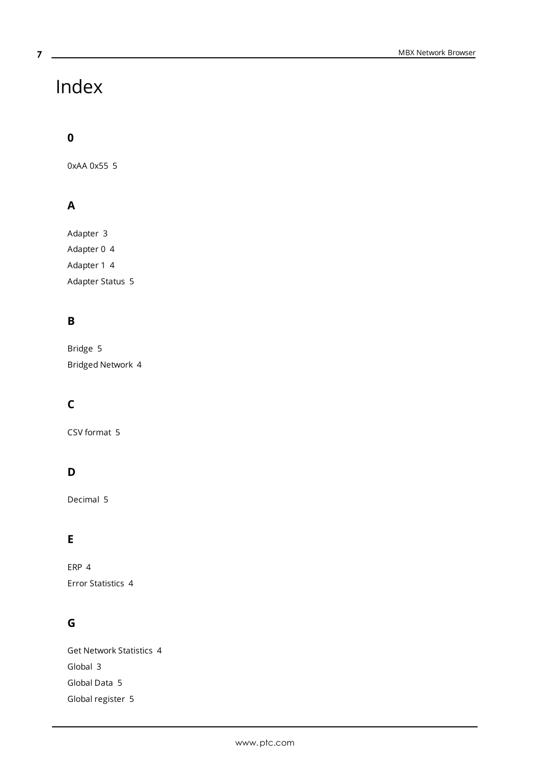# Index

<span id="page-6-0"></span>**7**

## **0**

0xAA 0x55 [5](#page-4-4)

# **A**

Adapter [3](#page-2-1) Adapter 0 [4](#page-3-5) Adapter 1 [4](#page-3-5) Adapter Status [5](#page-4-2)

# **B**

Bridge [5](#page-4-5) Bridged Network [4](#page-3-6)

# **C**

CSV format [5](#page-4-6)

# **D**

Decimal [5](#page-4-7)

# **E**

ERP [4](#page-3-7) Error Statistics [4](#page-3-2)

## **G**

Get Network Statistics [4](#page-3-8) Global [3](#page-2-2) Global Data [5](#page-4-0) Global register [5](#page-4-5)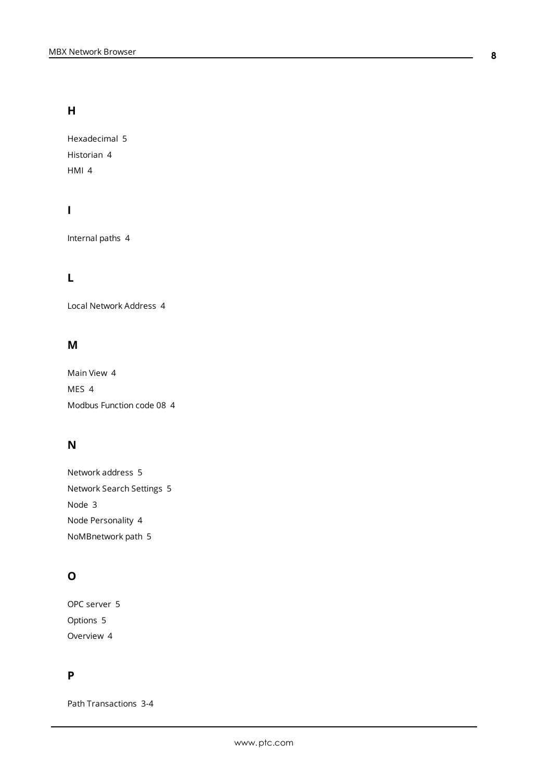### **H**

Hexadecimal [5](#page-4-7) Historian [4](#page-3-7) HMI [4](#page-3-7)

## **I**

Internal paths [4](#page-3-9)

### **L**

Local Network Address [4](#page-3-6)

### **M**

Main View [4](#page-3-1) MES [4](#page-3-7) Modbus Function code 08 [4](#page-3-8)

### **N**

| Network address 5         |  |
|---------------------------|--|
| Network Search Settings 5 |  |
| Node 3                    |  |
| Node Personality 4        |  |
| NoMBnetwork path 5        |  |

### **O**

OPC server [5](#page-4-6) Options [5](#page-4-1) Overview [4](#page-3-0)

### **P**

Path Transactions [3-4](#page-2-4)